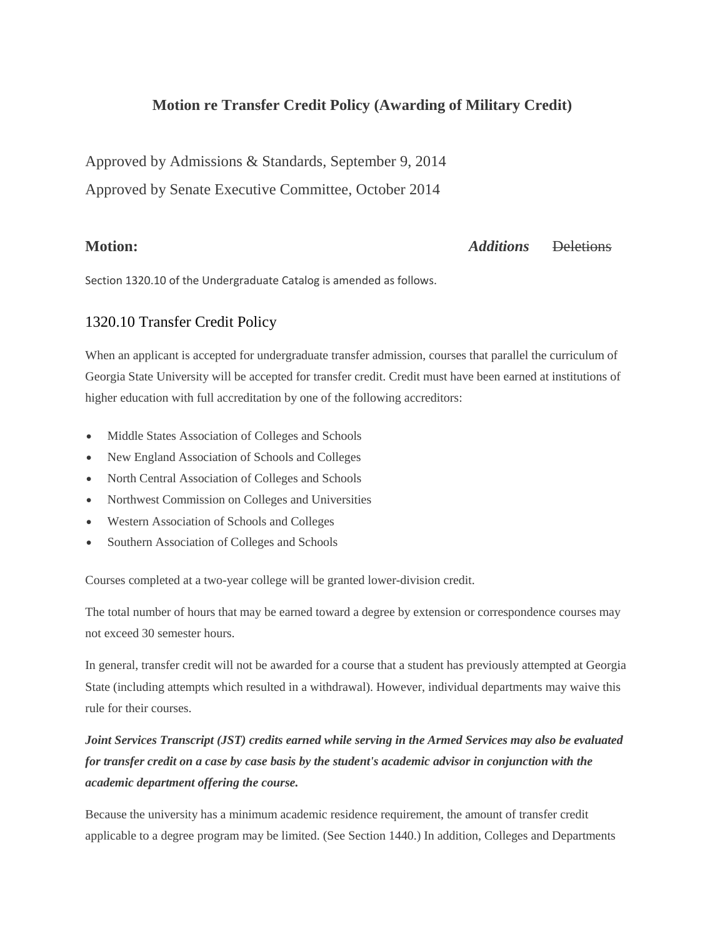# **Motion re Transfer Credit Policy (Awarding of Military Credit)**

Approved by Admissions & Standards, September 9, 2014

Approved by Senate Executive Committee, October 2014

## **Motion:** *Additions* Deletions

Section 1320.10 of the Undergraduate Catalog is amended as follows.

## [1320.10 Transfer Credit Policy](http://catalog.gsu.edu/undergraduate20142015/university-academic-regulations/#1320-10-transfer-credit-policy)

When an applicant is accepted for undergraduate transfer admission, courses that parallel the curriculum of Georgia State University will be accepted for transfer credit. Credit must have been earned at institutions of higher education with full accreditation by one of the following accreditors:

- Middle States Association of Colleges and Schools
- New England Association of Schools and Colleges
- North Central Association of Colleges and Schools
- Northwest Commission on Colleges and Universities
- Western Association of Schools and Colleges
- Southern Association of Colleges and Schools

Courses completed at a two-year college will be granted lower-division credit.

The total number of hours that may be earned toward a degree by extension or correspondence courses may not exceed 30 semester hours.

In general, transfer credit will not be awarded for a course that a student has previously attempted at Georgia State (including attempts which resulted in a withdrawal). However, individual departments may waive this rule for their courses.

# *Joint Services Transcript (JST) credits earned while serving in the Armed Services may also be evaluated for transfer credit on a case by case basis by the student's academic advisor in conjunction with the academic department offering the course.*

Because the university has a minimum academic residence requirement, the amount of transfer credit applicable to a degree program may be limited. (See Section 1440.) In addition, Colleges and Departments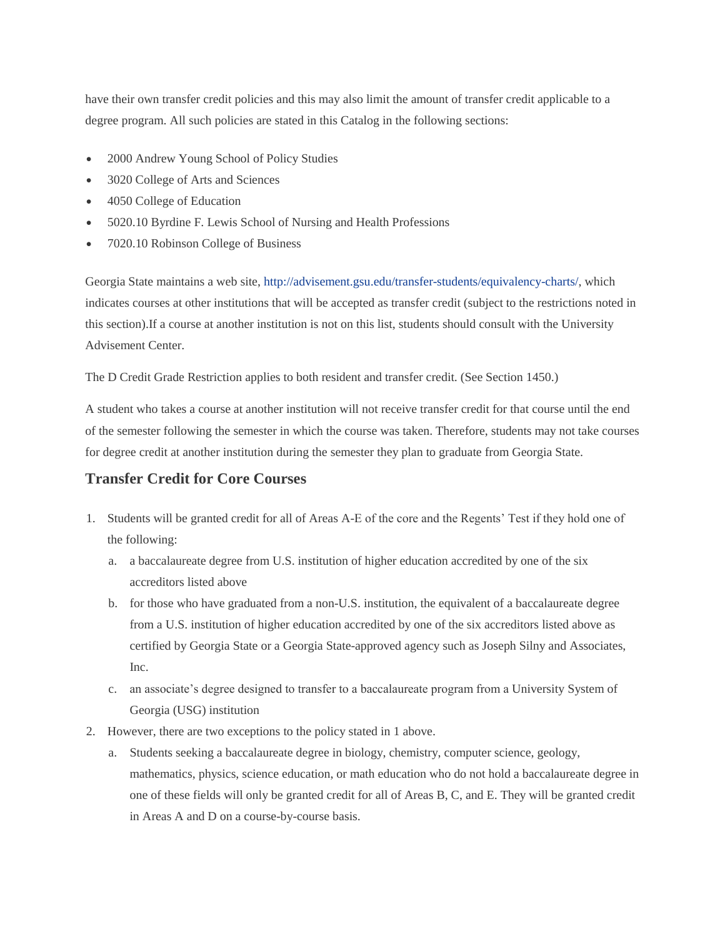have their own transfer credit policies and this may also limit the amount of transfer credit applicable to a degree program. All such policies are stated in this Catalog in the following sections:

- 2000 Andrew Young School of Policy Studies
- 3020 College of Arts and Sciences
- 4050 College of Education
- 5020.10 Byrdine F. Lewis School of Nursing and Health Professions
- 7020.10 Robinson College of Business

Georgia State maintains a web site, [http://advisement.gsu.edu/transfer-students/equivalency-charts/,](http://advisement.gsu.edu/transfer-students/equivalency-charts/) which indicates courses at other institutions that will be accepted as transfer credit (subject to the restrictions noted in this section).If a course at another institution is not on this list, students should consult with the University Advisement Center.

The D Credit Grade Restriction applies to both resident and transfer credit. (See Section 1450.)

A student who takes a course at another institution will not receive transfer credit for that course until the end of the semester following the semester in which the course was taken. Therefore, students may not take courses for degree credit at another institution during the semester they plan to graduate from Georgia State.

## **Transfer Credit for Core Courses**

- 1. Students will be granted credit for all of Areas A-E of the core and the Regents' Test if they hold one of the following:
	- a. a baccalaureate degree from U.S. institution of higher education accredited by one of the six accreditors listed above
	- b. for those who have graduated from a non-U.S. institution, the equivalent of a baccalaureate degree from a U.S. institution of higher education accredited by one of the six accreditors listed above as certified by Georgia State or a Georgia State-approved agency such as Joseph Silny and Associates, Inc.
	- c. an associate's degree designed to transfer to a baccalaureate program from a University System of Georgia (USG) institution
- 2. However, there are two exceptions to the policy stated in 1 above.
	- a. Students seeking a baccalaureate degree in biology, chemistry, computer science, geology, mathematics, physics, science education, or math education who do not hold a baccalaureate degree in one of these fields will only be granted credit for all of Areas B, C, and E. They will be granted credit in Areas A and D on a course-by-course basis.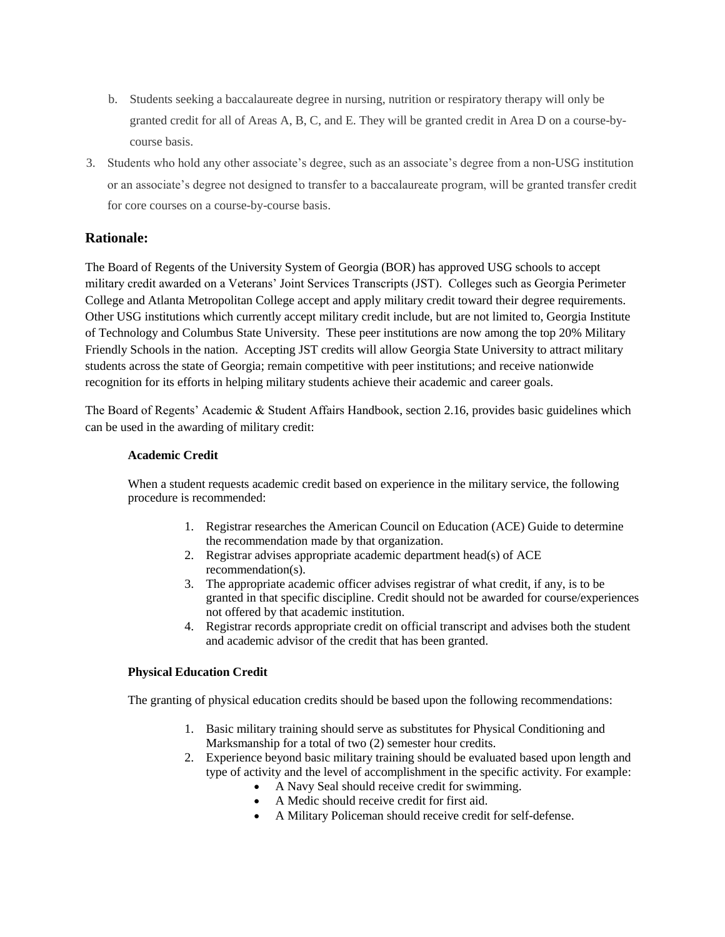- b. Students seeking a baccalaureate degree in nursing, nutrition or respiratory therapy will only be granted credit for all of Areas A, B, C, and E. They will be granted credit in Area D on a course-bycourse basis.
- 3. Students who hold any other associate's degree, such as an associate's degree from a non-USG institution or an associate's degree not designed to transfer to a baccalaureate program, will be granted transfer credit for core courses on a course-by-course basis.

## **Rationale:**

The Board of Regents of the University System of Georgia (BOR) has approved USG schools to accept military credit awarded on a Veterans' Joint Services Transcripts (JST). Colleges such as Georgia Perimeter College and Atlanta Metropolitan College accept and apply military credit toward their degree requirements. Other USG institutions which currently accept military credit include, but are not limited to, Georgia Institute of Technology and Columbus State University. These peer institutions are now among the top 20% Military Friendly Schools in the nation. Accepting JST credits will allow Georgia State University to attract military students across the state of Georgia; remain competitive with peer institutions; and receive nationwide recognition for its efforts in helping military students achieve their academic and career goals.

The Board of Regents' Academic & Student Affairs Handbook, section 2.16, provides basic guidelines which can be used in the awarding of military credit:

## **Academic Credit**

When a student requests academic credit based on experience in the military service, the following procedure is recommended:

- 1. Registrar researches the American Council on Education (ACE) Guide to determine the recommendation made by that organization.
- 2. Registrar advises appropriate academic department head(s) of ACE recommendation(s).
- 3. The appropriate academic officer advises registrar of what credit, if any, is to be granted in that specific discipline. Credit should not be awarded for course/experiences not offered by that academic institution.
- 4. Registrar records appropriate credit on official transcript and advises both the student and academic advisor of the credit that has been granted.

## **Physical Education Credit**

The granting of physical education credits should be based upon the following recommendations:

- 1. Basic military training should serve as substitutes for Physical Conditioning and Marksmanship for a total of two (2) semester hour credits.
- 2. Experience beyond basic military training should be evaluated based upon length and type of activity and the level of accomplishment in the specific activity. For example:
	- A Navy Seal should receive credit for swimming.
	- A Medic should receive credit for first aid.
	- A Military Policeman should receive credit for self-defense.